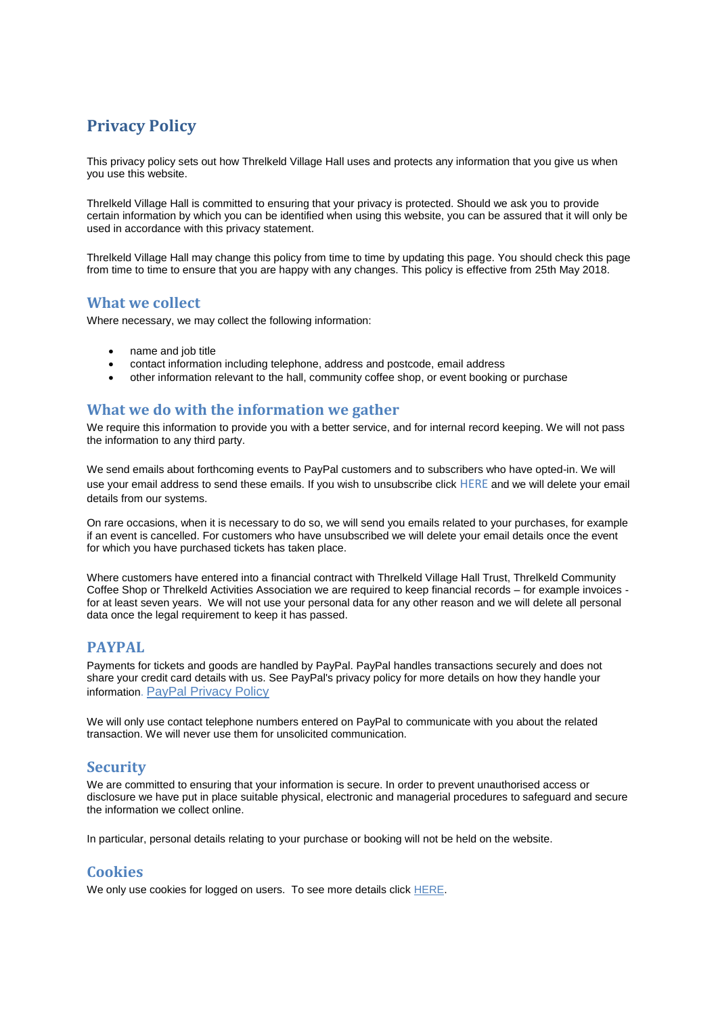# **Privacy Policy**

This privacy policy sets out how Threlkeld Village Hall uses and protects any information that you give us when you use this website.

Threlkeld Village Hall is committed to ensuring that your privacy is protected. Should we ask you to provide certain information by which you can be identified when using this website, you can be assured that it will only be used in accordance with this privacy statement.

Threlkeld Village Hall may change this policy from time to time by updating this page. You should check this page from time to time to ensure that you are happy with any changes. This policy is effective from 25th May 2018.

#### **What we collect**

Where necessary, we may collect the following information:

- name and job title
- contact information including telephone, address and postcode, email address
- other information relevant to the hall, community coffee shop, or event booking or purchase

### **What we do with the information we gather**

We require this information to provide you with a better service, and for internal record keeping. We will not pass the information to any third party.

We send emails about forthcoming events to PayPal customers and to subscribers who have opted-in. We will use your email address to send these emails. If you wish to unsubscribe click [HERE](http://www.threlkeldvillagehall.org/unsubscribe) and we will delete your email details from our systems.

On rare occasions, when it is necessary to do so, we will send you emails related to your purchases, for example if an event is cancelled. For customers who have unsubscribed we will delete your email details once the event for which you have purchased tickets has taken place.

Where customers have entered into a financial contract with Threlkeld Village Hall Trust, Threlkeld Community Coffee Shop or Threlkeld Activities Association we are required to keep financial records – for example invoices for at least seven years. We will not use your personal data for any other reason and we will delete all personal data once the legal requirement to keep it has passed.

#### **PAYPAL**

Payments for tickets and goods are handled by PayPal. PayPal handles transactions securely and does not share your credit card details with us. See PayPal's privacy policy for more details on how they handle your information. [PayPal Privacy Policy](https://cms.paypal.com/uk/cgi-bin/marketingweb?cmd=_render-content&content_ID=ua/Privacy_full&locale.x=en_GB)

We will only use contact telephone numbers entered on PayPal to communicate with you about the related transaction. We will never use them for unsolicited communication.

# **Security**

We are committed to ensuring that your information is secure. In order to prevent unauthorised access or disclosure we have put in place suitable physical, electronic and managerial procedures to safeguard and secure the information we collect online.

In particular, personal details relating to your purchase or booking will not be held on the website.

# **Cookies**

We only use cookies for logged on users. To see more details click [HERE.](http://www.threlkeldvillagehall.org/files/Cookie%20Policy.pdf)